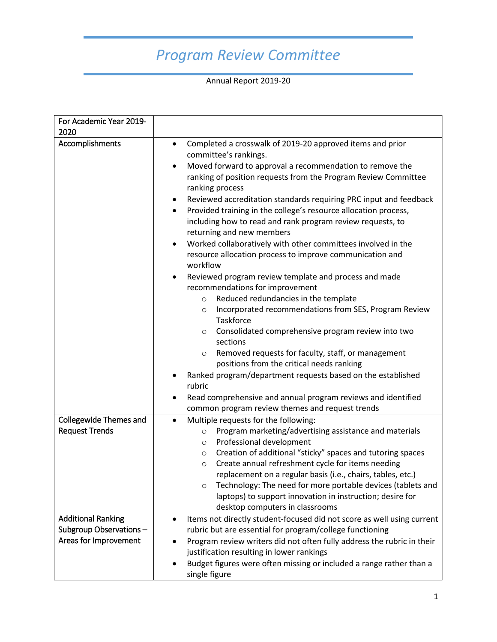## *Program Review Committee*

Annual Report 2019-20

| For Academic Year 2019-<br>2020                                              |                                                                                                                                                                                                                                                                                                                                                                                                                                                                                                                                                                                                                                                                                                                                                                                                                                                                                                                                                                                                                                                                                                                                                                                                                                                                       |
|------------------------------------------------------------------------------|-----------------------------------------------------------------------------------------------------------------------------------------------------------------------------------------------------------------------------------------------------------------------------------------------------------------------------------------------------------------------------------------------------------------------------------------------------------------------------------------------------------------------------------------------------------------------------------------------------------------------------------------------------------------------------------------------------------------------------------------------------------------------------------------------------------------------------------------------------------------------------------------------------------------------------------------------------------------------------------------------------------------------------------------------------------------------------------------------------------------------------------------------------------------------------------------------------------------------------------------------------------------------|
| Accomplishments                                                              | Completed a crosswalk of 2019-20 approved items and prior<br>$\bullet$<br>committee's rankings.<br>Moved forward to approval a recommendation to remove the<br>$\bullet$<br>ranking of position requests from the Program Review Committee<br>ranking process<br>Reviewed accreditation standards requiring PRC input and feedback<br>$\bullet$<br>Provided training in the college's resource allocation process,<br>$\bullet$<br>including how to read and rank program review requests, to<br>returning and new members<br>Worked collaboratively with other committees involved in the<br>$\bullet$<br>resource allocation process to improve communication and<br>workflow<br>Reviewed program review template and process and made<br>$\bullet$<br>recommendations for improvement<br>Reduced redundancies in the template<br>$\circ$<br>Incorporated recommendations from SES, Program Review<br>$\circ$<br>Taskforce<br>Consolidated comprehensive program review into two<br>$\circ$<br>sections<br>Removed requests for faculty, staff, or management<br>$\circ$<br>positions from the critical needs ranking<br>Ranked program/department requests based on the established<br>rubric<br>Read comprehensive and annual program reviews and identified<br>٠ |
|                                                                              | common program review themes and request trends                                                                                                                                                                                                                                                                                                                                                                                                                                                                                                                                                                                                                                                                                                                                                                                                                                                                                                                                                                                                                                                                                                                                                                                                                       |
| <b>Collegewide Themes and</b><br><b>Request Trends</b>                       | Multiple requests for the following:<br>$\bullet$<br>Program marketing/advertising assistance and materials<br>$\circ$<br>Professional development<br>$\circ$<br>Creation of additional "sticky" spaces and tutoring spaces<br>$\circ$<br>Create annual refreshment cycle for items needing<br>$\circ$<br>replacement on a regular basis (i.e., chairs, tables, etc.)<br>Technology: The need for more portable devices (tablets and<br>$\circ$<br>laptops) to support innovation in instruction; desire for<br>desktop computers in classrooms                                                                                                                                                                                                                                                                                                                                                                                                                                                                                                                                                                                                                                                                                                                       |
| <b>Additional Ranking</b><br>Subgroup Observations-<br>Areas for Improvement | Items not directly student-focused did not score as well using current<br>$\bullet$<br>rubric but are essential for program/college functioning<br>Program review writers did not often fully address the rubric in their<br>justification resulting in lower rankings<br>Budget figures were often missing or included a range rather than a<br>single figure                                                                                                                                                                                                                                                                                                                                                                                                                                                                                                                                                                                                                                                                                                                                                                                                                                                                                                        |